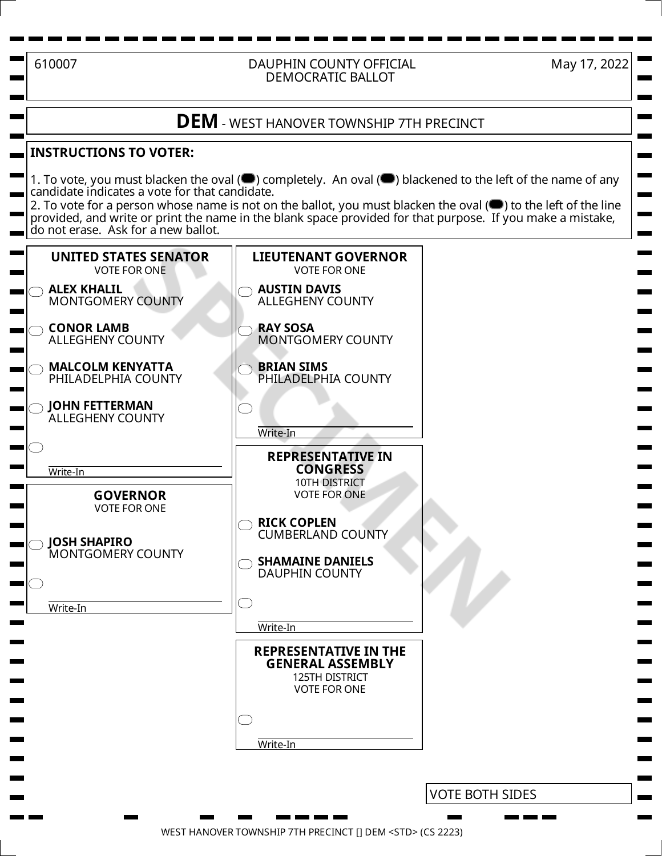## 610007 DAUPHIN COUNTY OFFICIAL DEMOCRATIC BALLOT

May 17, 2022

## **DEM** - WEST HANOVER TOWNSHIP 7TH PRECINCT

## **INSTRUCTIONS TO VOTER:**

1. To vote, you must blacken the oval (**O**) completely. An oval (O) blackened to the left of the name of any candidate indicates a vote for that candidate.

2. To vote for a person whose name is not on the ballot, you must blacken the oval  $($ **)** to the left of the line provided, and write or print the name in the blank space provided for that purpose. If you make a mistake, do not erase. Ask for a new ballot.



VOTE BOTH SIDES